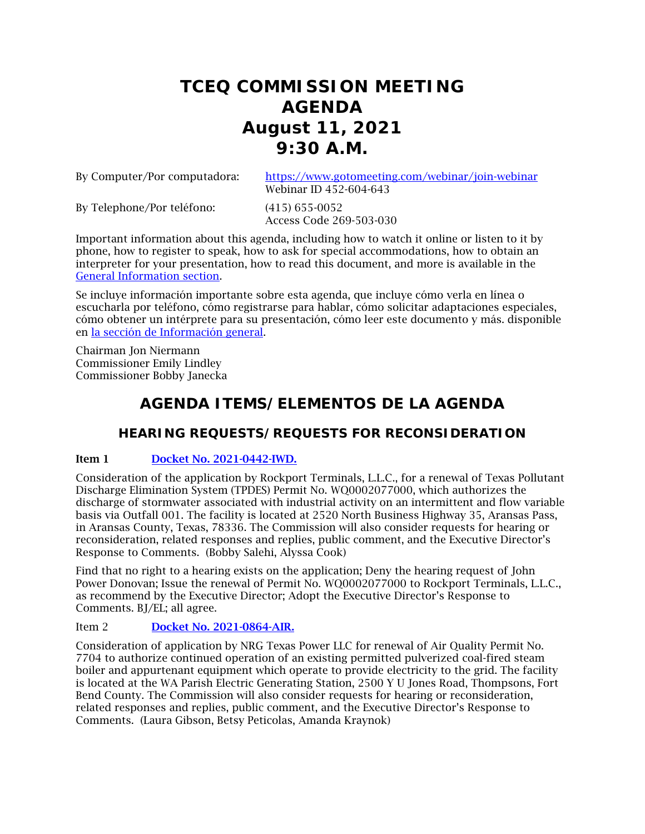# **TCEQ COMMISSION MEETING AGENDA August 11, 2021 9:30 A.M.**

By Computer/Por computadora: <https://www.gotomeeting.com/webinar/join-webinar> Webinar ID 452-604-643

By Telephone/Por teléfono: (415) 655-0052

Access Code 269-503-030

Important information about this agenda, including how to watch it online or listen to it by phone, how to register to speak, how to ask for special accommodations, how to obtain an interpreter for your presentation, how to read this document, and more is available in the [General Information section.](#page-8-0)

Se incluye información importante sobre esta agenda, que incluye cómo verla en línea o escucharla por teléfono, cómo registrarse para hablar, cómo solicitar adaptaciones especiales, cómo obtener un intérprete para su presentación, cómo leer este documento y más. disponible en [la sección de Información general.](#page-8-0)

Chairman Jon Niermann Commissioner Emily Lindley Commissioner Bobby Janecka

# **AGENDA ITEMS/ELEMENTOS DE LA AGENDA**

# **HEARING REQUESTS/REQUESTS FOR RECONSIDERATION**

# Item 1 [Docket No. 2021-0442-IWD.](http://www.tceq.texas.gov/assets/public/comm_exec/agendas/comm/backup/Agendas/2021/08-11-2021/rockport.pdf)

Consideration of the application by Rockport Terminals, L.L.C., for a renewal of Texas Pollutant Discharge Elimination System (TPDES) Permit No. WQ0002077000, which authorizes the discharge of stormwater associated with industrial activity on an intermittent and flow variable basis via Outfall 001. The facility is located at 2520 North Business Highway 35, Aransas Pass, in Aransas County, Texas, 78336. The Commission will also consider requests for hearing or reconsideration, related responses and replies, public comment, and the Executive Director's Response to Comments. (Bobby Salehi, Alyssa Cook)

Find that no right to a hearing exists on the application; Deny the hearing request of John Power Donovan; Issue the renewal of Permit No. WQ0002077000 to Rockport Terminals, L.L.C., as recommend by the Executive Director; Adopt the Executive Director's Response to Comments. BJ/EL; all agree.

# Item 2 [Docket No. 2021-0864-AIR.](http://www.tceq.texas.gov/assets/public/comm_exec/agendas/comm/backup/Agendas/2021/08-11-2021/nrg.pdf)

Consideration of application by NRG Texas Power LLC for renewal of Air Quality Permit No. 7704 to authorize continued operation of an existing permitted pulverized coal-fired steam boiler and appurtenant equipment which operate to provide electricity to the grid. The facility is located at the WA Parish Electric Generating Station, 2500 Y U Jones Road, Thompsons, Fort Bend County. The Commission will also consider requests for hearing or reconsideration, related responses and replies, public comment, and the Executive Director's Response to Comments. (Laura Gibson, Betsy Peticolas, Amanda Kraynok)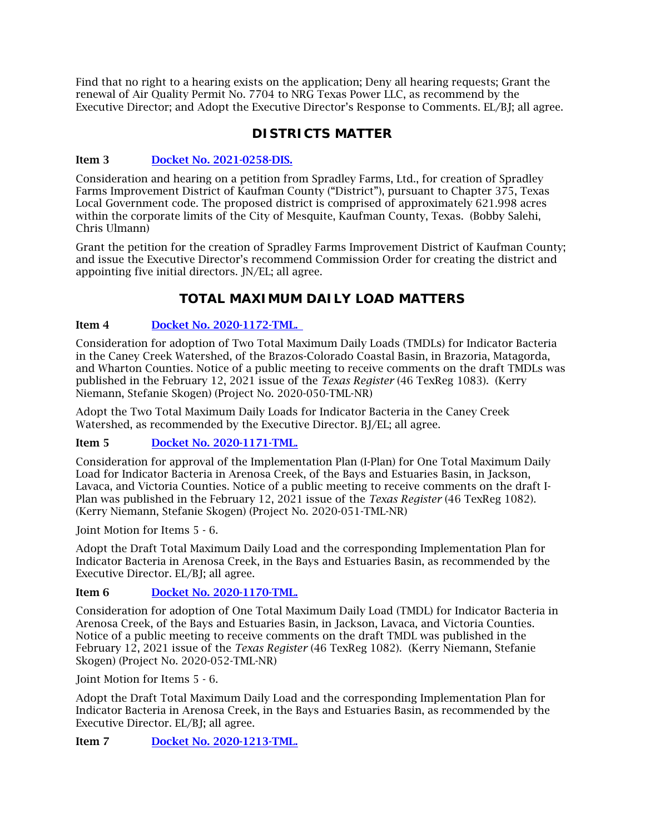Find that no right to a hearing exists on the application; Deny all hearing requests; Grant the renewal of Air Quality Permit No. 7704 to NRG Texas Power LLC, as recommend by the Executive Director; and Adopt the Executive Director's Response to Comments. EL/BJ; all agree.

# **DISTRICTS MATTER**

# Item 3 [Docket No. 2021-0258-DIS.](http://www.tceq.texas.gov/assets/public/comm_exec/agendas/comm/backup/Agendas/2021/08-11-2021/0258DIS.pdf)

Consideration and hearing on a petition from Spradley Farms, Ltd., for creation of Spradley Farms Improvement District of Kaufman County ("District"), pursuant to Chapter 375, Texas Local Government code. The proposed district is comprised of approximately 621.998 acres within the corporate limits of the City of Mesquite, Kaufman County, Texas. (Bobby Salehi, Chris Ulmann)

Grant the petition for the creation of Spradley Farms Improvement District of Kaufman County; and issue the Executive Director's recommend Commission Order for creating the district and appointing five initial directors. JN/EL; all agree.

# **TOTAL MAXIMUM DAILY LOAD MATTERS**

# Item 4 [Docket No. 2020-1172-TML.](http://www.tceq.texas.gov/assets/public/comm_exec/agendas/comm/backup/Agendas/2021/08-11-2021/1172TML.pdf)

Consideration for adoption of Two Total Maximum Daily Loads (TMDLs) for Indicator Bacteria in the Caney Creek Watershed, of the Brazos-Colorado Coastal Basin, in Brazoria, Matagorda, and Wharton Counties. Notice of a public meeting to receive comments on the draft TMDLs was published in the February 12, 2021 issue of the *Texas Register* (46 TexReg 1083). (Kerry Niemann, Stefanie Skogen) (Project No. 2020-050-TML-NR)

Adopt the Two Total Maximum Daily Loads for Indicator Bacteria in the Caney Creek Watershed, as recommended by the Executive Director. BJ/EL; all agree.

# Item 5 [Docket No. 2020-1171-TML.](http://www.tceq.texas.gov/assets/public/comm_exec/agendas/comm/backup/Agendas/2021/08-11-2021/1171TML.pdf)

Consideration for approval of the Implementation Plan (I-Plan) for One Total Maximum Daily Load for Indicator Bacteria in Arenosa Creek, of the Bays and Estuaries Basin, in Jackson, Lavaca, and Victoria Counties. Notice of a public meeting to receive comments on the draft I-Plan was published in the February 12, 2021 issue of the *Texas Register* (46 TexReg 1082). (Kerry Niemann, Stefanie Skogen) (Project No. 2020-051-TML-NR)

Joint Motion for Items 5 - 6.

Adopt the Draft Total Maximum Daily Load and the corresponding Implementation Plan for Indicator Bacteria in Arenosa Creek, in the Bays and Estuaries Basin, as recommended by the Executive Director. EL/BJ; all agree.

# Item 6 [Docket No. 2020-1170-TML.](http://www.tceq.texas.gov/assets/public/comm_exec/agendas/comm/backup/Agendas/2021/08-11-2021/1170TML.pdf)

Consideration for adoption of One Total Maximum Daily Load (TMDL) for Indicator Bacteria in Arenosa Creek, of the Bays and Estuaries Basin, in Jackson, Lavaca, and Victoria Counties. Notice of a public meeting to receive comments on the draft TMDL was published in the February 12, 2021 issue of the *Texas Register* (46 TexReg 1082). (Kerry Niemann, Stefanie Skogen) (Project No. 2020-052-TML-NR)

Joint Motion for Items 5 - 6.

Adopt the Draft Total Maximum Daily Load and the corresponding Implementation Plan for Indicator Bacteria in Arenosa Creek, in the Bays and Estuaries Basin, as recommended by the Executive Director. EL/BJ; all agree.

Item 7 [Docket No. 2020-1213-TML.](http://www.tceq.texas.gov/assets/public/comm_exec/agendas/comm/backup/Agendas/2021/08-11-2021/1213TML.pdf)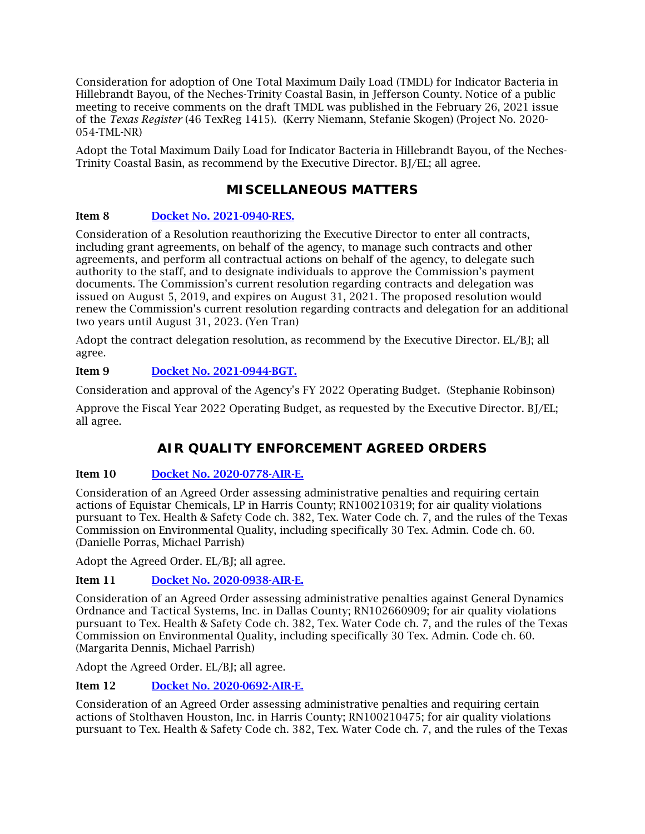Consideration for adoption of One Total Maximum Daily Load (TMDL) for Indicator Bacteria in Hillebrandt Bayou, of the Neches-Trinity Coastal Basin, in Jefferson County. Notice of a public meeting to receive comments on the draft TMDL was published in the February 26, 2021 issue of the *Texas Register* (46 TexReg 1415). (Kerry Niemann, Stefanie Skogen) (Project No. 2020- 054-TML-NR)

Adopt the Total Maximum Daily Load for Indicator Bacteria in Hillebrandt Bayou, of the Neches-Trinity Coastal Basin, as recommend by the Executive Director. BJ/EL; all agree.

# **MISCELLANEOUS MATTERS**

# Item 8 [Docket No. 2021-0940-RES.](http://www.tceq.texas.gov/assets/public/comm_exec/agendas/comm/backup/Agendas/2021/08-11-2021/0940RES.pdf)

Consideration of a Resolution reauthorizing the Executive Director to enter all contracts, including grant agreements, on behalf of the agency, to manage such contracts and other agreements, and perform all contractual actions on behalf of the agency, to delegate such authority to the staff, and to designate individuals to approve the Commission's payment documents. The Commission's current resolution regarding contracts and delegation was issued on August 5, 2019, and expires on August 31, 2021. The proposed resolution would renew the Commission's current resolution regarding contracts and delegation for an additional two years until August 31, 2023. (Yen Tran)

Adopt the contract delegation resolution, as recommend by the Executive Director. EL/BJ; all agree.

# Item 9 [Docket No. 2021-0944-BGT.](http://www.tceq.texas.gov/assets/public/comm_exec/agendas/comm/backup/Agendas/2021/08-11-2021/0944BGT.pdf)

Consideration and approval of the Agency's FY 2022 Operating Budget. (Stephanie Robinson)

Approve the Fiscal Year 2022 Operating Budget, as requested by the Executive Director. BJ/EL; all agree.

# **AIR QUALITY ENFORCEMENT AGREED ORDERS**

# Item 10 [Docket No. 2020-0778-AIR-E.](http://www.tceq.texas.gov/assets/public/comm_exec/agendas/comm/backup/Agendas/2021/08-11-2021/0778AIR.pdf)

Consideration of an Agreed Order assessing administrative penalties and requiring certain actions of Equistar Chemicals, LP in Harris County; RN100210319; for air quality violations pursuant to Tex. Health & Safety Code ch. 382, Tex. Water Code ch. 7, and the rules of the Texas Commission on Environmental Quality, including specifically 30 Tex. Admin. Code ch. 60. (Danielle Porras, Michael Parrish)

Adopt the Agreed Order. EL/BJ; all agree.

# Item 11 [Docket No. 2020-0938-AIR-E.](http://www.tceq.texas.gov/assets/public/comm_exec/agendas/comm/backup/Agendas/2021/08-11-2021/0938AIR.pdf)

Consideration of an Agreed Order assessing administrative penalties against General Dynamics Ordnance and Tactical Systems, Inc. in Dallas County; RN102660909; for air quality violations pursuant to Tex. Health & Safety Code ch. 382, Tex. Water Code ch. 7, and the rules of the Texas Commission on Environmental Quality, including specifically 30 Tex. Admin. Code ch. 60. (Margarita Dennis, Michael Parrish)

Adopt the Agreed Order. EL/BJ; all agree.

# Item 12 [Docket No. 2020-0692-AIR-E.](http://www.tceq.texas.gov/assets/public/comm_exec/agendas/comm/backup/Agendas/2021/08-11-2021/0692AIR.pdf)

Consideration of an Agreed Order assessing administrative penalties and requiring certain actions of Stolthaven Houston, Inc. in Harris County; RN100210475; for air quality violations pursuant to Tex. Health & Safety Code ch. 382, Tex. Water Code ch. 7, and the rules of the Texas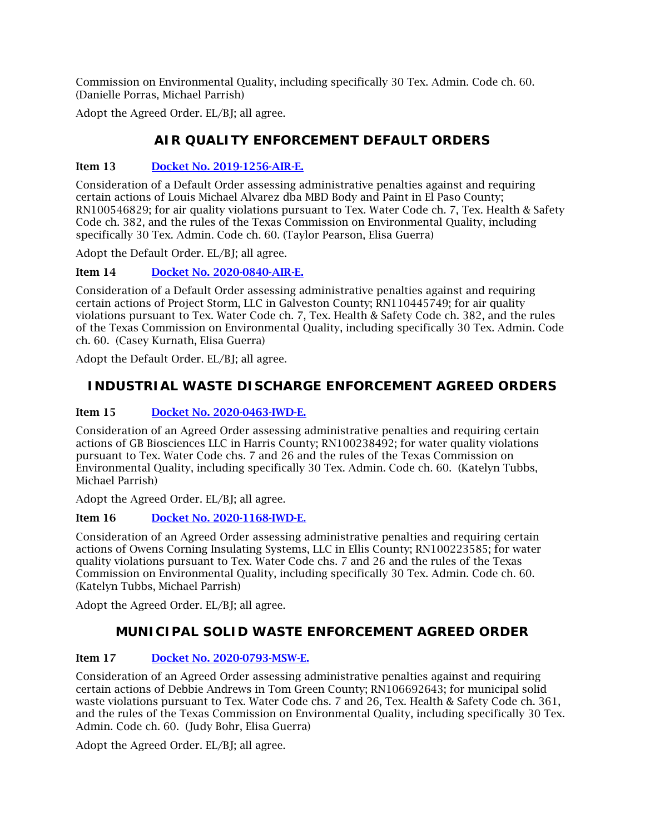Commission on Environmental Quality, including specifically 30 Tex. Admin. Code ch. 60. (Danielle Porras, Michael Parrish)

Adopt the Agreed Order. EL/BJ; all agree.

# **AIR QUALITY ENFORCEMENT DEFAULT ORDERS**

### Item 13 [Docket No. 2019-1256-AIR-E.](http://www.tceq.texas.gov/assets/public/comm_exec/agendas/comm/backup/Agendas/2021/08-11-2021/1256AIR.pdf)

Consideration of a Default Order assessing administrative penalties against and requiring certain actions of Louis Michael Alvarez dba MBD Body and Paint in El Paso County; RN100546829; for air quality violations pursuant to Tex. Water Code ch. 7, Tex. Health & Safety Code ch. 382, and the rules of the Texas Commission on Environmental Quality, including specifically 30 Tex. Admin. Code ch. 60. (Taylor Pearson, Elisa Guerra)

Adopt the Default Order. EL/BJ; all agree.

Item 14 [Docket No. 2020-0840-AIR-E.](http://www.tceq.texas.gov/assets/public/comm_exec/agendas/comm/backup/Agendas/2021/08-11-2021/0840AIR.pdf)

Consideration of a Default Order assessing administrative penalties against and requiring certain actions of Project Storm, LLC in Galveston County; RN110445749; for air quality violations pursuant to Tex. Water Code ch. 7, Tex. Health & Safety Code ch. 382, and the rules of the Texas Commission on Environmental Quality, including specifically 30 Tex. Admin. Code ch. 60. (Casey Kurnath, Elisa Guerra)

Adopt the Default Order. EL/BJ; all agree.

# **INDUSTRIAL WASTE DISCHARGE ENFORCEMENT AGREED ORDERS**

# Item 15 [Docket No. 2020-0463-IWD-E.](http://www.tceq.texas.gov/assets/public/comm_exec/agendas/comm/backup/Agendas/2021/08-11-2021/0463IWD.pdf)

Consideration of an Agreed Order assessing administrative penalties and requiring certain actions of GB Biosciences LLC in Harris County; RN100238492; for water quality violations pursuant to Tex. Water Code chs. 7 and 26 and the rules of the Texas Commission on Environmental Quality, including specifically 30 Tex. Admin. Code ch. 60. (Katelyn Tubbs, Michael Parrish)

Adopt the Agreed Order. EL/BJ; all agree.

# Item 16 [Docket No. 2020-1168-IWD-E.](http://www.tceq.texas.gov/assets/public/comm_exec/agendas/comm/backup/Agendas/2021/08-11-2021/1168IWD.pdf)

Consideration of an Agreed Order assessing administrative penalties and requiring certain actions of Owens Corning Insulating Systems, LLC in Ellis County; RN100223585; for water quality violations pursuant to Tex. Water Code chs. 7 and 26 and the rules of the Texas Commission on Environmental Quality, including specifically 30 Tex. Admin. Code ch. 60. (Katelyn Tubbs, Michael Parrish)

Adopt the Agreed Order. EL/BJ; all agree.

# **MUNICIPAL SOLID WASTE ENFORCEMENT AGREED ORDER**

# Item 17 [Docket No. 2020-0793-MSW-E.](http://www.tceq.texas.gov/assets/public/comm_exec/agendas/comm/backup/Agendas/2021/08-11-2021/0793MSW.pdf)

Consideration of an Agreed Order assessing administrative penalties against and requiring certain actions of Debbie Andrews in Tom Green County; RN106692643; for municipal solid waste violations pursuant to Tex. Water Code chs. 7 and 26, Tex. Health & Safety Code ch. 361, and the rules of the Texas Commission on Environmental Quality, including specifically 30 Tex. Admin. Code ch. 60. (Judy Bohr, Elisa Guerra)

Adopt the Agreed Order. EL/BJ; all agree.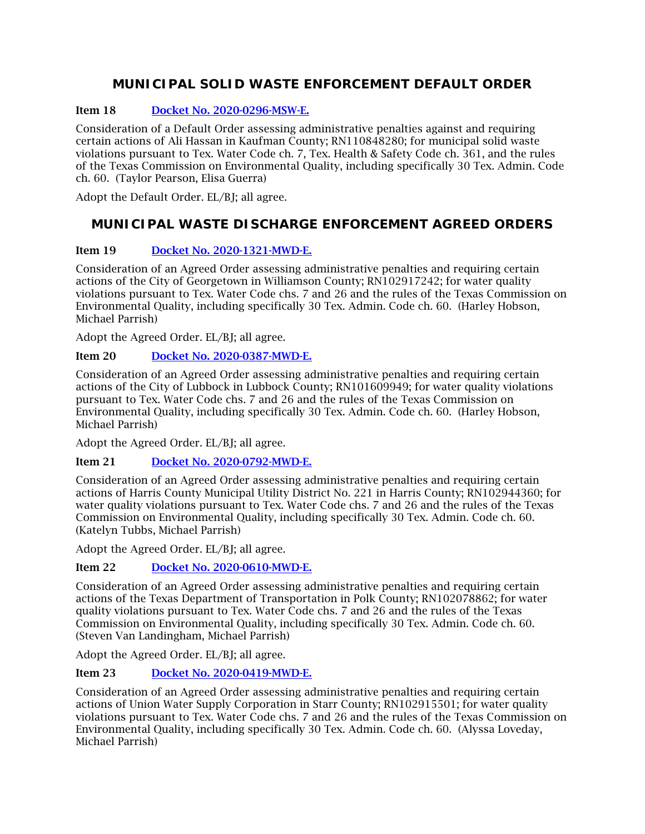# **MUNICIPAL SOLID WASTE ENFORCEMENT DEFAULT ORDER**

# Item 18 [Docket No. 2020-0296-MSW-E.](http://www.tceq.texas.gov/assets/public/comm_exec/agendas/comm/backup/Agendas/2021/08-11-2021/0296MSW.pdf)

Consideration of a Default Order assessing administrative penalties against and requiring certain actions of Ali Hassan in Kaufman County; RN110848280; for municipal solid waste violations pursuant to Tex. Water Code ch. 7, Tex. Health & Safety Code ch. 361, and the rules of the Texas Commission on Environmental Quality, including specifically 30 Tex. Admin. Code ch. 60. (Taylor Pearson, Elisa Guerra)

Adopt the Default Order. EL/BJ; all agree.

# **MUNICIPAL WASTE DISCHARGE ENFORCEMENT AGREED ORDERS**

# Item 19 [Docket No. 2020-1321-MWD-E.](http://www.tceq.texas.gov/assets/public/comm_exec/agendas/comm/backup/Agendas/2021/08-11-2021/1321MWD.pdf)

Consideration of an Agreed Order assessing administrative penalties and requiring certain actions of the City of Georgetown in Williamson County; RN102917242; for water quality violations pursuant to Tex. Water Code chs. 7 and 26 and the rules of the Texas Commission on Environmental Quality, including specifically 30 Tex. Admin. Code ch. 60. (Harley Hobson, Michael Parrish)

Adopt the Agreed Order. EL/BJ; all agree.

# Item 20 [Docket No. 2020-0387-MWD-E.](http://www.tceq.texas.gov/assets/public/comm_exec/agendas/comm/backup/Agendas/2021/08-11-2021/0387MWD.pdf)

Consideration of an Agreed Order assessing administrative penalties and requiring certain actions of the City of Lubbock in Lubbock County; RN101609949; for water quality violations pursuant to Tex. Water Code chs. 7 and 26 and the rules of the Texas Commission on Environmental Quality, including specifically 30 Tex. Admin. Code ch. 60. (Harley Hobson, Michael Parrish)

Adopt the Agreed Order. EL/BJ; all agree.

# Item 21 [Docket No. 2020-0792-MWD-E.](http://www.tceq.texas.gov/assets/public/comm_exec/agendas/comm/backup/Agendas/2021/08-11-2021/0792MWD.pdf)

Consideration of an Agreed Order assessing administrative penalties and requiring certain actions of Harris County Municipal Utility District No. 221 in Harris County; RN102944360; for water quality violations pursuant to Tex. Water Code chs. 7 and 26 and the rules of the Texas Commission on Environmental Quality, including specifically 30 Tex. Admin. Code ch. 60. (Katelyn Tubbs, Michael Parrish)

Adopt the Agreed Order. EL/BJ; all agree.

# Item 22 [Docket No. 2020-0610-MWD-E.](http://www.tceq.texas.gov/assets/public/comm_exec/agendas/comm/backup/Agendas/2021/08-11-2021/0610MWD.pdf)

Consideration of an Agreed Order assessing administrative penalties and requiring certain actions of the Texas Department of Transportation in Polk County; RN102078862; for water quality violations pursuant to Tex. Water Code chs. 7 and 26 and the rules of the Texas Commission on Environmental Quality, including specifically 30 Tex. Admin. Code ch. 60. (Steven Van Landingham, Michael Parrish)

Adopt the Agreed Order. EL/BJ; all agree.

# Item 23 [Docket No. 2020-0419-MWD-E.](http://www.tceq.texas.gov/assets/public/comm_exec/agendas/comm/backup/Agendas/2021/08-11-2021/0419MWD.pdf)

Consideration of an Agreed Order assessing administrative penalties and requiring certain actions of Union Water Supply Corporation in Starr County; RN102915501; for water quality violations pursuant to Tex. Water Code chs. 7 and 26 and the rules of the Texas Commission on Environmental Quality, including specifically 30 Tex. Admin. Code ch. 60. (Alyssa Loveday, Michael Parrish)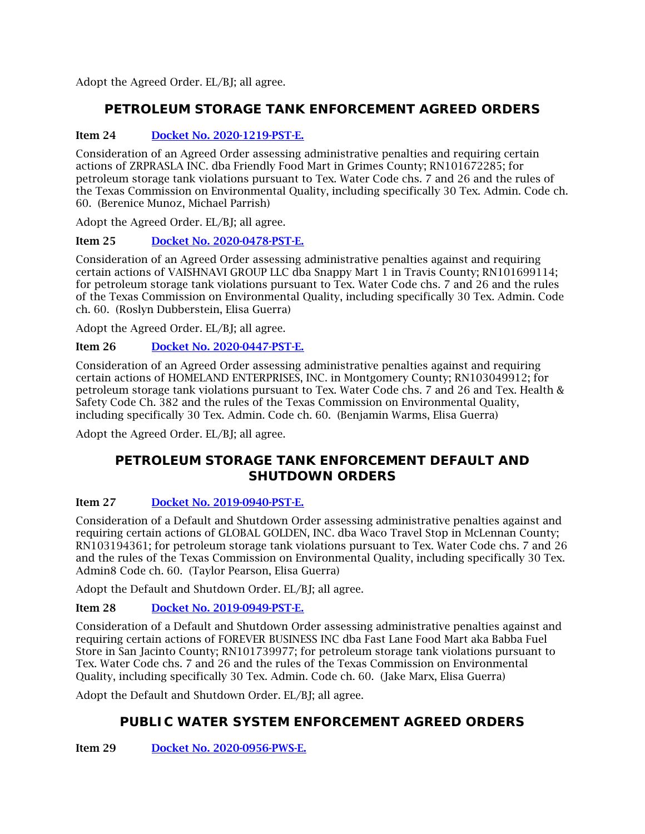Adopt the Agreed Order. EL/BJ; all agree.

# **PETROLEUM STORAGE TANK ENFORCEMENT AGREED ORDERS**

# Item 24 [Docket No. 2020-1219-PST-E.](http://www.tceq.texas.gov/assets/public/comm_exec/agendas/comm/backup/Agendas/2021/08-11-2021/1219PST.pdf)

Consideration of an Agreed Order assessing administrative penalties and requiring certain actions of ZRPRASLA INC. dba Friendly Food Mart in Grimes County; RN101672285; for petroleum storage tank violations pursuant to Tex. Water Code chs. 7 and 26 and the rules of the Texas Commission on Environmental Quality, including specifically 30 Tex. Admin. Code ch. 60. (Berenice Munoz, Michael Parrish)

Adopt the Agreed Order. EL/BJ; all agree.

# Item 25 [Docket No. 2020-0478-PST-E.](http://www.tceq.texas.gov/assets/public/comm_exec/agendas/comm/backup/Agendas/2021/08-11-2021/0478PST.pdf)

Consideration of an Agreed Order assessing administrative penalties against and requiring certain actions of VAISHNAVI GROUP LLC dba Snappy Mart 1 in Travis County; RN101699114; for petroleum storage tank violations pursuant to Tex. Water Code chs. 7 and 26 and the rules of the Texas Commission on Environmental Quality, including specifically 30 Tex. Admin. Code ch. 60. (Roslyn Dubberstein, Elisa Guerra)

Adopt the Agreed Order. EL/BJ; all agree.

#### Item 26 [Docket No. 2020-0447-PST-E.](http://www.tceq.texas.gov/assets/public/comm_exec/agendas/comm/backup/Agendas/2021/08-11-2021/0447PST.pdf)

Consideration of an Agreed Order assessing administrative penalties against and requiring certain actions of HOMELAND ENTERPRISES, INC. in Montgomery County; RN103049912; for petroleum storage tank violations pursuant to Tex. Water Code chs. 7 and 26 and Tex. Health & Safety Code Ch. 382 and the rules of the Texas Commission on Environmental Quality, including specifically 30 Tex. Admin. Code ch. 60. (Benjamin Warms, Elisa Guerra)

Adopt the Agreed Order. EL/BJ; all agree.

# **PETROLEUM STORAGE TANK ENFORCEMENT DEFAULT AND SHUTDOWN ORDERS**

# Item 27 [Docket No. 2019-0940-PST-E.](http://www.tceq.texas.gov/assets/public/comm_exec/agendas/comm/backup/Agendas/2021/08-11-2021/0940PST.pdf)

Consideration of a Default and Shutdown Order assessing administrative penalties against and requiring certain actions of GLOBAL GOLDEN, INC. dba Waco Travel Stop in McLennan County; RN103194361; for petroleum storage tank violations pursuant to Tex. Water Code chs. 7 and 26 and the rules of the Texas Commission on Environmental Quality, including specifically 30 Tex. Admin8 Code ch. 60. (Taylor Pearson, Elisa Guerra)

Adopt the Default and Shutdown Order. EL/BJ; all agree.

# Item 28 [Docket No. 2019-0949-PST-E.](http://www.tceq.texas.gov/assets/public/comm_exec/agendas/comm/backup/Agendas/2021/08-11-2021/0949PST.pdf)

Consideration of a Default and Shutdown Order assessing administrative penalties against and requiring certain actions of FOREVER BUSINESS INC dba Fast Lane Food Mart aka Babba Fuel Store in San Jacinto County; RN101739977; for petroleum storage tank violations pursuant to Tex. Water Code chs. 7 and 26 and the rules of the Texas Commission on Environmental Quality, including specifically 30 Tex. Admin. Code ch. 60. (Jake Marx, Elisa Guerra)

Adopt the Default and Shutdown Order. EL/BJ; all agree.

# **PUBLIC WATER SYSTEM ENFORCEMENT AGREED ORDERS**

Item 29 [Docket No. 2020-0956-PWS-E.](http://www.tceq.texas.gov/assets/public/comm_exec/agendas/comm/backup/Agendas/2021/08-11-2021/0956PWS.pdf)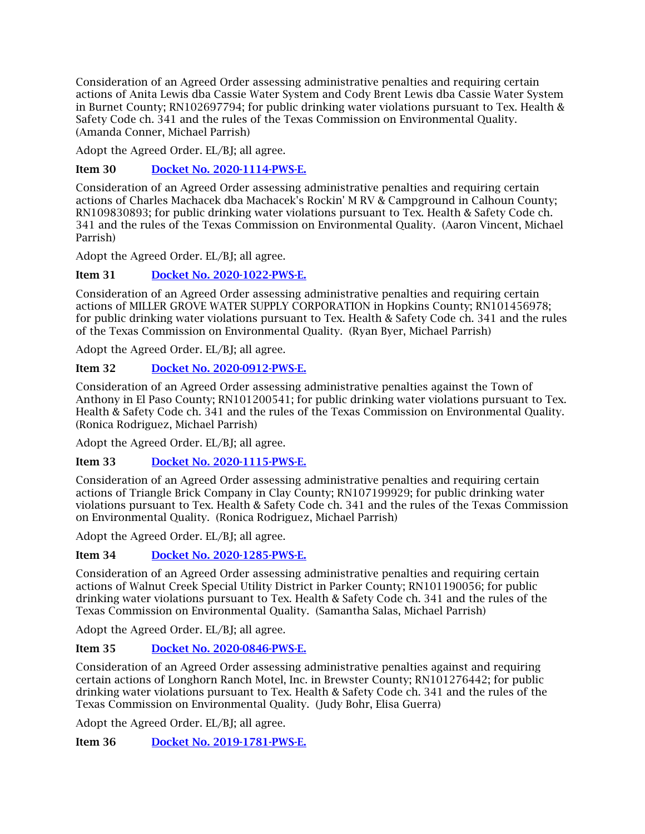Consideration of an Agreed Order assessing administrative penalties and requiring certain actions of Anita Lewis dba Cassie Water System and Cody Brent Lewis dba Cassie Water System in Burnet County; RN102697794; for public drinking water violations pursuant to Tex. Health & Safety Code ch. 341 and the rules of the Texas Commission on Environmental Quality. (Amanda Conner, Michael Parrish)

Adopt the Agreed Order. EL/BJ; all agree.

Item 30 [Docket No. 2020-1114-PWS-E.](http://www.tceq.texas.gov/assets/public/comm_exec/agendas/comm/backup/Agendas/2021/08-11-2021/1114PWS.pdf)

Consideration of an Agreed Order assessing administrative penalties and requiring certain actions of Charles Machacek dba Machacek's Rockin' M RV & Campground in Calhoun County; RN109830893; for public drinking water violations pursuant to Tex. Health & Safety Code ch. 341 and the rules of the Texas Commission on Environmental Quality. (Aaron Vincent, Michael Parrish)

Adopt the Agreed Order. EL/BJ; all agree.

Item 31 [Docket No. 2020-1022-PWS-E.](http://www.tceq.texas.gov/assets/public/comm_exec/agendas/comm/backup/Agendas/2021/08-11-2021/1022PWS.pdf)

Consideration of an Agreed Order assessing administrative penalties and requiring certain actions of MILLER GROVE WATER SUPPLY CORPORATION in Hopkins County; RN101456978; for public drinking water violations pursuant to Tex. Health & Safety Code ch. 341 and the rules of the Texas Commission on Environmental Quality. (Ryan Byer, Michael Parrish)

Adopt the Agreed Order. EL/BJ; all agree.

Item 32 [Docket No. 2020-0912-PWS-E.](http://www.tceq.texas.gov/assets/public/comm_exec/agendas/comm/backup/Agendas/2021/08-11-2021/0912PWS.pdf)

Consideration of an Agreed Order assessing administrative penalties against the Town of Anthony in El Paso County; RN101200541; for public drinking water violations pursuant to Tex. Health & Safety Code ch. 341 and the rules of the Texas Commission on Environmental Quality. (Ronica Rodriguez, Michael Parrish)

Adopt the Agreed Order. EL/BJ; all agree.

Item 33 [Docket No. 2020-1115-PWS-E.](http://www.tceq.texas.gov/assets/public/comm_exec/agendas/comm/backup/Agendas/2021/08-11-2021/1115PWS.pdf)

Consideration of an Agreed Order assessing administrative penalties and requiring certain actions of Triangle Brick Company in Clay County; RN107199929; for public drinking water violations pursuant to Tex. Health & Safety Code ch. 341 and the rules of the Texas Commission on Environmental Quality. (Ronica Rodriguez, Michael Parrish)

Adopt the Agreed Order. EL/BJ; all agree.

# Item 34 [Docket No. 2020-1285-PWS-E.](http://www.tceq.texas.gov/assets/public/comm_exec/agendas/comm/backup/Agendas/2021/08-11-2021/1285PWS.pdf)

Consideration of an Agreed Order assessing administrative penalties and requiring certain actions of Walnut Creek Special Utility District in Parker County; RN101190056; for public drinking water violations pursuant to Tex. Health & Safety Code ch. 341 and the rules of the Texas Commission on Environmental Quality. (Samantha Salas, Michael Parrish)

Adopt the Agreed Order. EL/BJ; all agree.

# Item 35 [Docket No. 2020-0846-PWS-E.](http://www.tceq.texas.gov/assets/public/comm_exec/agendas/comm/backup/Agendas/2021/08-11-2021/0846PWS.pdf)

Consideration of an Agreed Order assessing administrative penalties against and requiring certain actions of Longhorn Ranch Motel, Inc. in Brewster County; RN101276442; for public drinking water violations pursuant to Tex. Health & Safety Code ch. 341 and the rules of the Texas Commission on Environmental Quality. (Judy Bohr, Elisa Guerra)

Adopt the Agreed Order. EL/BJ; all agree.

Item 36 [Docket No. 2019-1781-PWS-E.](http://www.tceq.texas.gov/assets/public/comm_exec/agendas/comm/backup/Agendas/2021/08-11-2021/1781PWS.pdf)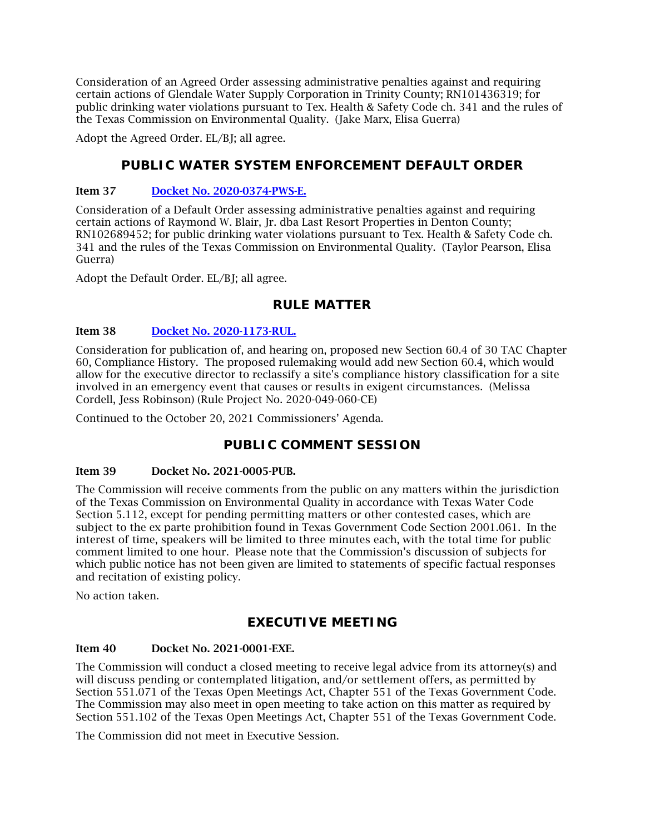Consideration of an Agreed Order assessing administrative penalties against and requiring certain actions of Glendale Water Supply Corporation in Trinity County; RN101436319; for public drinking water violations pursuant to Tex. Health & Safety Code ch. 341 and the rules of the Texas Commission on Environmental Quality. (Jake Marx, Elisa Guerra)

Adopt the Agreed Order. EL/BJ; all agree.

# **PUBLIC WATER SYSTEM ENFORCEMENT DEFAULT ORDER**

#### Item 37 [Docket No. 2020-0374-PWS-E.](http://www.tceq.texas.gov/assets/public/comm_exec/agendas/comm/backup/Agendas/2021/08-11-2021/0374PWS.pdf)

Consideration of a Default Order assessing administrative penalties against and requiring certain actions of Raymond W. Blair, Jr. dba Last Resort Properties in Denton County; RN102689452; for public drinking water violations pursuant to Tex. Health & Safety Code ch. 341 and the rules of the Texas Commission on Environmental Quality. (Taylor Pearson, Elisa Guerra)

Adopt the Default Order. EL/BJ; all agree.

# **RULE MATTER**

#### Item 38 [Docket No. 2020-1173-RUL.](http://www.tceq.texas.gov/assets/public/comm_exec/agendas/comm/backup/Agendas/2021/08-11-2021/1173RUL.pdf)

Consideration for publication of, and hearing on, proposed new Section 60.4 of 30 TAC Chapter 60, Compliance History. The proposed rulemaking would add new Section 60.4, which would allow for the executive director to reclassify a site's compliance history classification for a site involved in an emergency event that causes or results in exigent circumstances. (Melissa Cordell, Jess Robinson) (Rule Project No. 2020-049-060-CE)

Continued to the October 20, 2021 Commissioners' Agenda.

# **PUBLIC COMMENT SESSION**

#### Item 39 Docket No. 2021-0005-PUB.

The Commission will receive comments from the public on any matters within the jurisdiction of the Texas Commission on Environmental Quality in accordance with Texas Water Code Section 5.112, except for pending permitting matters or other contested cases, which are subject to the ex parte prohibition found in Texas Government Code Section 2001.061. In the interest of time, speakers will be limited to three minutes each, with the total time for public comment limited to one hour. Please note that the Commission's discussion of subjects for which public notice has not been given are limited to statements of specific factual responses and recitation of existing policy.

No action taken.

# **EXECUTIVE MEETING**

#### Item 40 Docket No. 2021-0001-EXE.

The Commission will conduct a closed meeting to receive legal advice from its attorney(s) and will discuss pending or contemplated litigation, and/or settlement offers, as permitted by Section 551.071 of the Texas Open Meetings Act, Chapter 551 of the Texas Government Code. The Commission may also meet in open meeting to take action on this matter as required by Section 551.102 of the Texas Open Meetings Act, Chapter 551 of the Texas Government Code.

The Commission did not meet in Executive Session.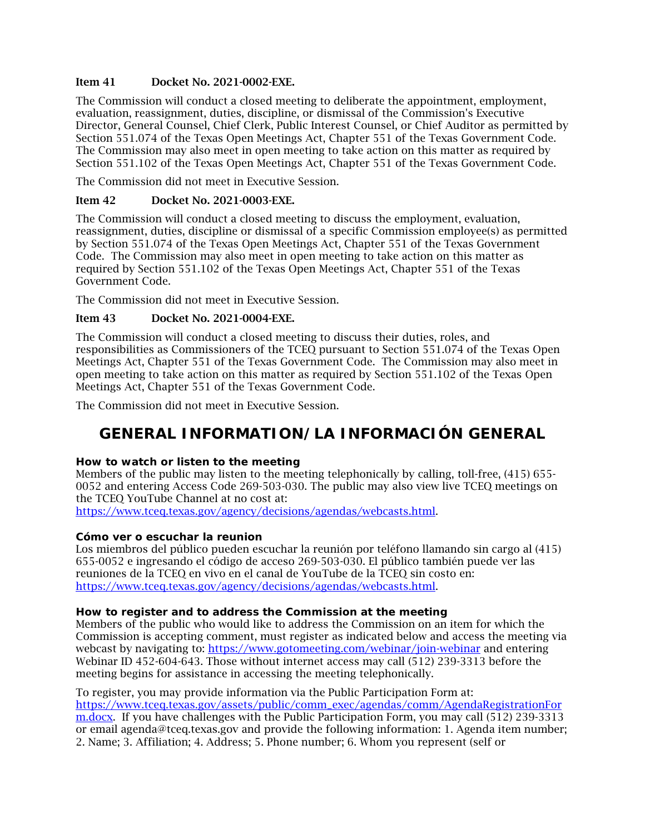#### Item 41 Docket No. 2021-0002-EXE.

The Commission will conduct a closed meeting to deliberate the appointment, employment, evaluation, reassignment, duties, discipline, or dismissal of the Commission's Executive Director, General Counsel, Chief Clerk, Public Interest Counsel, or Chief Auditor as permitted by Section 551.074 of the Texas Open Meetings Act, Chapter 551 of the Texas Government Code. The Commission may also meet in open meeting to take action on this matter as required by Section 551.102 of the Texas Open Meetings Act, Chapter 551 of the Texas Government Code.

The Commission did not meet in Executive Session.

### Item 42 Docket No. 2021-0003-EXE.

The Commission will conduct a closed meeting to discuss the employment, evaluation, reassignment, duties, discipline or dismissal of a specific Commission employee(s) as permitted by Section 551.074 of the Texas Open Meetings Act, Chapter 551 of the Texas Government Code. The Commission may also meet in open meeting to take action on this matter as required by Section 551.102 of the Texas Open Meetings Act, Chapter 551 of the Texas Government Code.

The Commission did not meet in Executive Session.

# Item 43 Docket No. 2021-0004-EXE.

The Commission will conduct a closed meeting to discuss their duties, roles, and responsibilities as Commissioners of the TCEQ pursuant to Section 551.074 of the Texas Open Meetings Act, Chapter 551 of the Texas Government Code. The Commission may also meet in open meeting to take action on this matter as required by Section 551.102 of the Texas Open Meetings Act, Chapter 551 of the Texas Government Code.

<span id="page-8-0"></span>The Commission did not meet in Executive Session.

# **GENERAL INFORMATION/LA INFORMACIÓN GENERAL**

# **How to watch or listen to the meeting**

Members of the public may listen to the meeting telephonically by calling, toll-free, (415) 655- 0052 and entering Access Code 269-503-030. The public may also view live TCEQ meetings on the TCEQ YouTube Channel at no cost at:

[https://www.tceq.texas.gov/agency/decisions/agendas/webcasts.html.](https://www.tceq.texas.gov/agency/decisions/agendas/webcasts.html)

#### **Cómo ver o escuchar la reunion**

Los miembros del público pueden escuchar la reunión por teléfono llamando sin cargo al (415) 655-0052 e ingresando el código de acceso 269-503-030. El público también puede ver las reuniones de la TCEQ en vivo en el canal de YouTube de la TCEQ sin costo en: [https://www.tceq.texas.gov/agency/decisions/agendas/webcasts.html.](https://www.tceq.texas.gov/agency/decisions/agendas/webcasts.html)

#### **How to register and to address the Commission at the meeting**

Members of the public who would like to address the Commission on an item for which the Commission is accepting comment, must register as indicated below and access the meeting via webcast by navigating to:<https://www.gotomeeting.com/webinar/join-webinar> and entering Webinar ID 452-604-643. Those without internet access may call (512) 239-3313 before the meeting begins for assistance in accessing the meeting telephonically.

To register, you may provide information via the Public Participation Form at: [https://www.tceq.texas.gov/assets/public/comm\\_exec/agendas/comm/AgendaRegistrationFor](https://www.tceq.texas.gov/assets/public/comm_exec/agendas/comm/AgendaRegistrationForm.docx) [m.docx.](https://www.tceq.texas.gov/assets/public/comm_exec/agendas/comm/AgendaRegistrationForm.docx) If you have challenges with the Public Participation Form, you may call (512) 239-3313 or email agenda@tceq.texas.gov and provide the following information: 1. Agenda item number; 2. Name; 3. Affiliation; 4. Address; 5. Phone number; 6. Whom you represent (self or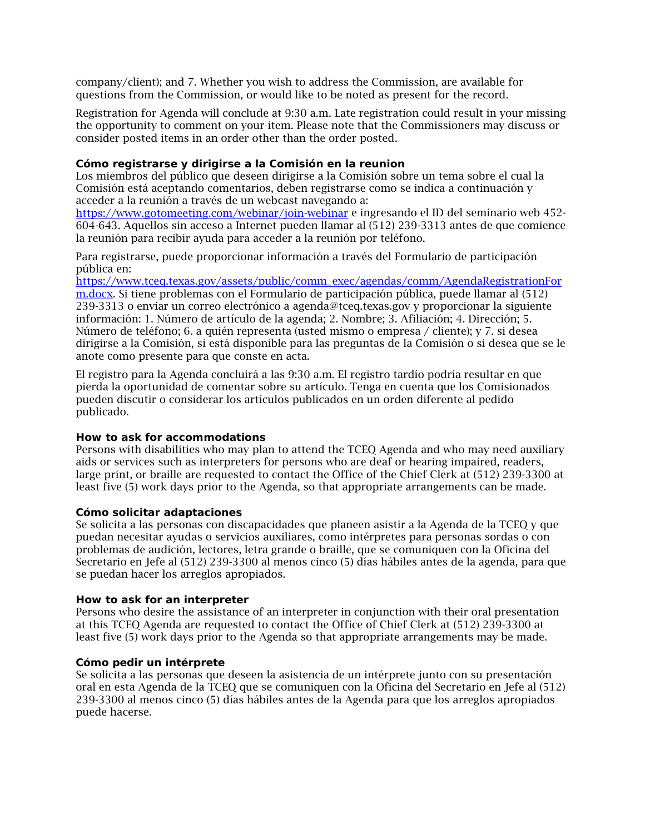company/client); and 7. Whether you wish to address the Commission, are available for questions from the Commission, or would like to be noted as present for the record.

Registration for Agenda will conclude at 9:30 a.m. Late registration could result in your missing the opportunity to comment on your item. Please note that the Commissioners may discuss or consider posted items in an order other than the order posted.

#### **Cómo registrarse y dirigirse a la Comisión en la reunion**

Los miembros del público que deseen dirigirse a la Comisión sobre un tema sobre el cual la Comisión está aceptando comentarios, deben registrarse como se indica a continuación y acceder a la reunión a través de un webcast navegando a:

<https://www.gotomeeting.com/webinar/join-webinar> e ingresando el ID del seminario web 452- 604-643. Aquellos sin acceso a Internet pueden llamar al (512) 239-3313 antes de que comience la reunión para recibir ayuda para acceder a la reunión por teléfono.

Para registrarse, puede proporcionar información a través del Formulario de participación pública en:

[https://www.tceq.texas.gov/assets/public/comm\\_exec/agendas/comm/AgendaRegistrationFor](https://www.tceq.texas.gov/assets/public/comm_exec/agendas/comm/AgendaRegistrationForm.docx) [m.docx.](https://www.tceq.texas.gov/assets/public/comm_exec/agendas/comm/AgendaRegistrationForm.docx) Si tiene problemas con el Formulario de participación pública, puede llamar al (512) 239-3313 o enviar un correo electrónico a agenda@tceq.texas.gov y proporcionar la siguiente información: 1. Número de artículo de la agenda; 2. Nombre; 3. Afiliación; 4. Dirección; 5. Número de teléfono; 6. a quién representa (usted mismo o empresa / cliente); y 7. si desea dirigirse a la Comisión, si está disponible para las preguntas de la Comisión o si desea que se le anote como presente para que conste en acta.

El registro para la Agenda concluirá a las 9:30 a.m. El registro tardío podría resultar en que pierda la oportunidad de comentar sobre su artículo. Tenga en cuenta que los Comisionados pueden discutir o considerar los artículos publicados en un orden diferente al pedido publicado.

#### **How to ask for accommodations**

Persons with disabilities who may plan to attend the TCEQ Agenda and who may need auxiliary aids or services such as interpreters for persons who are deaf or hearing impaired, readers, large print, or braille are requested to contact the Office of the Chief Clerk at (512) 239-3300 at least five (5) work days prior to the Agenda, so that appropriate arrangements can be made.

#### **Cómo solicitar adaptaciones**

Se solicita a las personas con discapacidades que planeen asistir a la Agenda de la TCEQ y que puedan necesitar ayudas o servicios auxiliares, como intérpretes para personas sordas o con problemas de audición, lectores, letra grande o braille, que se comuniquen con la Oficina del Secretario en Jefe al (512) 239-3300 al menos cinco (5) días hábiles antes de la agenda, para que se puedan hacer los arreglos apropiados.

#### **How to ask for an interpreter**

Persons who desire the assistance of an interpreter in conjunction with their oral presentation at this TCEQ Agenda are requested to contact the Office of Chief Clerk at (512) 239-3300 at least five (5) work days prior to the Agenda so that appropriate arrangements may be made.

#### **Cómo pedir un intérprete**

Se solicita a las personas que deseen la asistencia de un intérprete junto con su presentación oral en esta Agenda de la TCEQ que se comuniquen con la Oficina del Secretario en Jefe al (512) 239-3300 al menos cinco (5) días hábiles antes de la Agenda para que los arreglos apropiados puede hacerse.